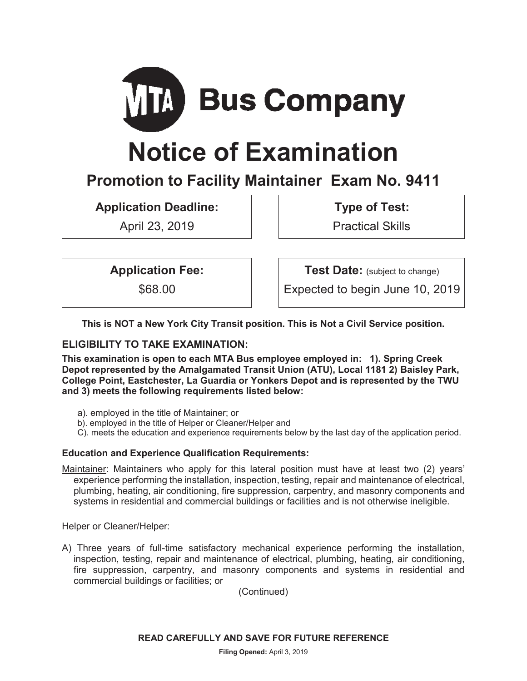

# **Notice of Examination**

# **Promotion to Facility Maintainer Exam No. 9411**

**Application Deadline:** 

April 23, 2019

**Type of Test:** 

Practical Skills

**Application Fee:** 

\$68.00

**Test Date:** (subject to change)

Expected to begin June 10, 2019

**This is NOT a New York City Transit position. This is Not a Civil Service position.** 

# **ELIGIBILITY TO TAKE EXAMINATION:**

**This examination is open to each MTA Bus employee employed in: 1). Spring Creek Depot represented by the Amalgamated Transit Union (ATU), Local 1181 2) Baisley Park, College Point, Eastchester, La Guardia or Yonkers Depot and is represented by the TWU and 3) meets the following requirements listed below:** 

- a). employed in the title of Maintainer; or
- b). employed in the title of Helper or Cleaner/Helper and
- C). meets the education and experience requirements below by the last day of the application period.

# **Education and Experience Qualification Requirements:**

Maintainer: Maintainers who apply for this lateral position must have at least two (2) years' experience performing the installation, inspection, testing, repair and maintenance of electrical, plumbing, heating, air conditioning, fire suppression, carpentry, and masonry components and systems in residential and commercial buildings or facilities and is not otherwise ineligible.

#### Helper or Cleaner/Helper:

A) Three years of full-time satisfactory mechanical experience performing the installation, inspection, testing, repair and maintenance of electrical, plumbing, heating, air conditioning, fire suppression, carpentry, and masonry components and systems in residential and commercial buildings or facilities; or

(Continued)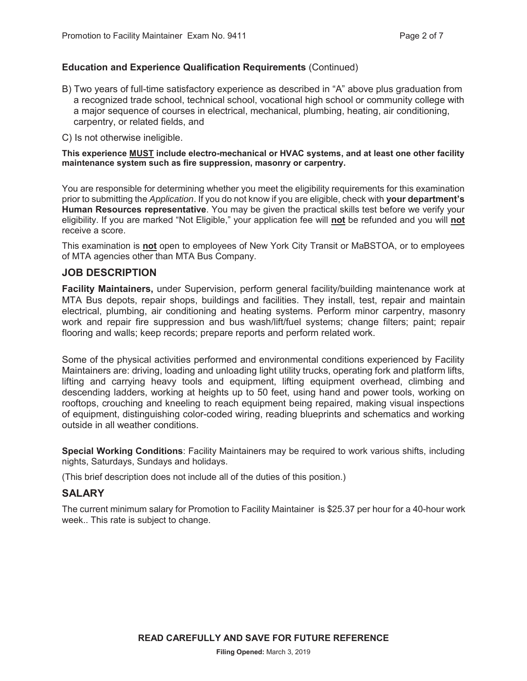#### **Education and Experience Qualification Requirements** (Continued)

- B) Two years of full-time satisfactory experience as described in "A" above plus graduation from a recognized trade school, technical school, vocational high school or community college with a major sequence of courses in electrical, mechanical, plumbing, heating, air conditioning, carpentry, or related fields, and
- C) Is not otherwise ineligible.

**This experience MUST include electro-mechanical or HVAC systems, and at least one other facility maintenance system such as fire suppression, masonry or carpentry.** 

You are responsible for determining whether you meet the eligibility requirements for this examination prior to submitting the *Application*. If you do not know if you are eligible, check with **your department's Human Resources representative**. You may be given the practical skills test before we verify your eligibility. If you are marked "Not Eligible," your application fee will **not** be refunded and you will **not** receive a score.

This examination is **not** open to employees of New York City Transit or MaBSTOA, or to employees of MTA agencies other than MTA Bus Company.

#### **JOB DESCRIPTION**

**Facility Maintainers,** under Supervision, perform general facility/building maintenance work at MTA Bus depots, repair shops, buildings and facilities. They install, test, repair and maintain electrical, plumbing, air conditioning and heating systems. Perform minor carpentry, masonry work and repair fire suppression and bus wash/lift/fuel systems; change filters; paint; repair flooring and walls; keep records; prepare reports and perform related work.

Some of the physical activities performed and environmental conditions experienced by Facility Maintainers are: driving, loading and unloading light utility trucks, operating fork and platform lifts, lifting and carrying heavy tools and equipment, lifting equipment overhead, climbing and descending ladders, working at heights up to 50 feet, using hand and power tools, working on rooftops, crouching and kneeling to reach equipment being repaired, making visual inspections of equipment, distinguishing color-coded wiring, reading blueprints and schematics and working outside in all weather conditions.

**Special Working Conditions**: Facility Maintainers may be required to work various shifts, including nights, Saturdays, Sundays and holidays.

(This brief description does not include all of the duties of this position.)

#### **SALARY**

The current minimum salary for Promotion to Facility Maintainer is \$25.37 per hour for a 40-hour work week.. This rate is subject to change.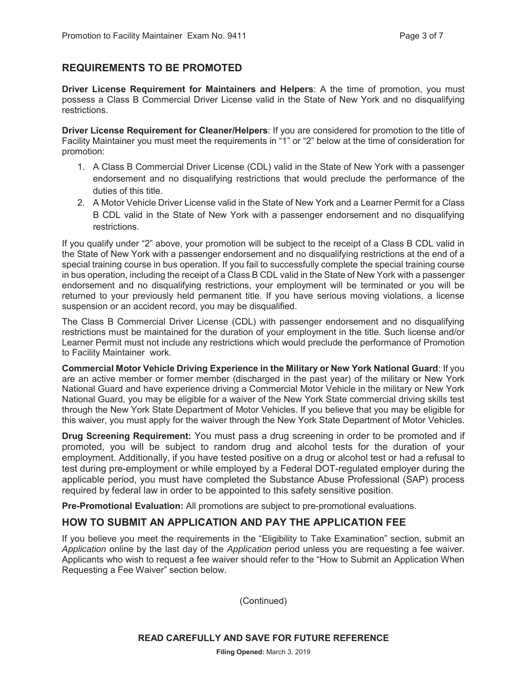## **REQUIREMENTS TO BE PROMOTED**

**Driver License Requirement for Maintainers and Helpers**: A the time of promotion, you must possess a Class B Commercial Driver License valid in the State of New York and no disqualifying restrictions.

**Driver License Requirement for Cleaner/Helpers**: If you are considered for promotion to the title of Facility Maintainer you must meet the requirements in "1" or "2" below at the time of consideration for promotion:

- 1. A Class B Commercial Driver License (CDL) valid in the State of New York with a passenger endorsement and no disqualifying restrictions that would preclude the performance of the duties of this title.
- 2. A Motor Vehicle Driver License valid in the State of New York and a Learner Permit for a Class B CDL valid in the State of New York with a passenger endorsement and no disqualifying restrictions.

If you qualify under "2" above, your promotion will be subject to the receipt of a Class B CDL valid in the State of New York with a passenger endorsement and no disqualifying restrictions at the end of a special training course in bus operation. If you fail to successfully complete the special training course in bus operation, including the receipt of a Class B CDL valid in the State of New York with a passenger endorsement and no disqualifying restrictions, your employment will be terminated or you will be returned to your previously held permanent title. If you have serious moving violations, a license suspension or an accident record, you may be disqualified.

The Class B Commercial Driver License (CDL) with passenger endorsement and no disqualifying restrictions must be maintained for the duration of your employment in the title. Such license and/or Learner Permit must not include any restrictions which would preclude the performance of Promotion to Facility Maintainer work.

**Commercial Motor Vehicle Driving Experience in the Military or New York National Guard**: If you are an active member or former member (discharged in the past year) of the military or New York National Guard and have experience driving a Commercial Motor Vehicle in the military or New York National Guard, you may be eligible for a waiver of the New York State commercial driving skills test through the New York State Department of Motor Vehicles. If you believe that you may be eligible for this waiver, you must apply for the waiver through the New York State Department of Motor Vehicles.

**Drug Screening Requirement:** You must pass a drug screening in order to be promoted and if promoted, you will be subject to random drug and alcohol tests for the duration of your employment. Additionally, if you have tested positive on a drug or alcohol test or had a refusal to test during pre-employment or while employed by a Federal DOT-regulated employer during the applicable period, you must have completed the Substance Abuse Professional (SAP) process required by federal law in order to be appointed to this safety sensitive position.

**Pre-Promotional Evaluation:** All promotions are subject to pre-promotional evaluations.

#### **HOW TO SUBMIT AN APPLICATION AND PAY THE APPLICATION FEE**

If you believe you meet the requirements in the "Eligibility to Take Examination" section, submit an *Application* online by the last day of the *Application* period unless you are requesting a fee waiver. Applicants who wish to request a fee waiver should refer to the "How to Submit an Application When Requesting a Fee Waiver" section below.

(Continued)

**READ CAREFULLY AND SAVE FOR FUTURE REFERENCE**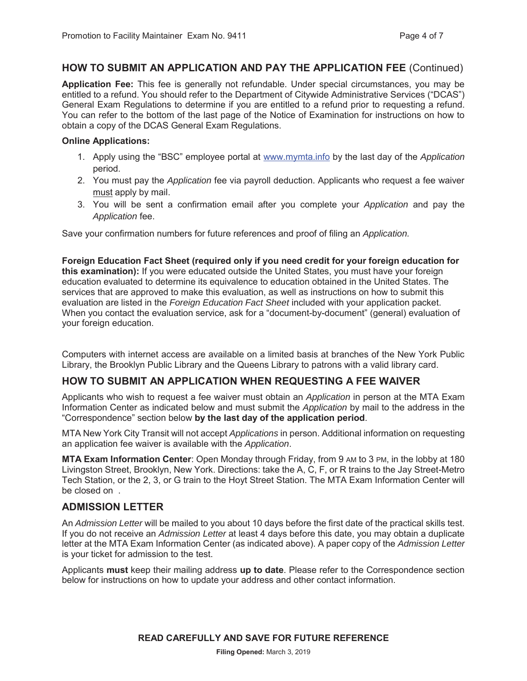#### **HOW TO SUBMIT AN APPLICATION AND PAY THE APPLICATION FEE** (Continued)

**Application Fee:** This fee is generally not refundable. Under special circumstances, you may be entitled to a refund. You should refer to the Department of Citywide Administrative Services ("DCAS") General Exam Regulations to determine if you are entitled to a refund prior to requesting a refund. You can refer to the bottom of the last page of the Notice of Examination for instructions on how to obtain a copy of the DCAS General Exam Regulations.

#### **Online Applications:**

- 1. Apply using the "BSC" employee portal at www.mymta.info by the last day of the *Application*  period.
- 2. You must pay the *Application* fee via payroll deduction. Applicants who request a fee waiver must apply by mail.
- 3. You will be sent a confirmation email after you complete your *Application* and pay the *Application* fee.

Save your confirmation numbers for future references and proof of filing an *Application.*

**Foreign Education Fact Sheet (required only if you need credit for your foreign education for this examination):** If you were educated outside the United States, you must have your foreign education evaluated to determine its equivalence to education obtained in the United States. The services that are approved to make this evaluation, as well as instructions on how to submit this evaluation are listed in the *Foreign Education Fact Sheet* included with your application packet. When you contact the evaluation service, ask for a "document-by-document" (general) evaluation of your foreign education.

Computers with internet access are available on a limited basis at branches of the New York Public Library, the Brooklyn Public Library and the Queens Library to patrons with a valid library card.

# **HOW TO SUBMIT AN APPLICATION WHEN REQUESTING A FEE WAIVER**

Applicants who wish to request a fee waiver must obtain an *Application* in person at the MTA Exam Information Center as indicated below and must submit the *Application* by mail to the address in the "Correspondence" section below **by the last day of the application period**.

MTA New York City Transit will not accept *Applications* in person. Additional information on requesting an application fee waiver is available with the *Application*.

**MTA Exam Information Center**: Open Monday through Friday, from 9 AM to 3 PM, in the lobby at 180 Livingston Street, Brooklyn, New York. Directions: take the A, C, F, or R trains to the Jay Street-Metro Tech Station, or the 2, 3, or G train to the Hoyt Street Station. The MTA Exam Information Center will be closed on .

# **ADMISSION LETTER**

An *Admission Letter* will be mailed to you about 10 days before the first date of the practical skills test. If you do not receive an *Admission Letter* at least 4 days before this date, you may obtain a duplicate letter at the MTA Exam Information Center (as indicated above). A paper copy of the *Admission Letter* is your ticket for admission to the test.

Applicants **must** keep their mailing address **up to date**. Please refer to the Correspondence section below for instructions on how to update your address and other contact information.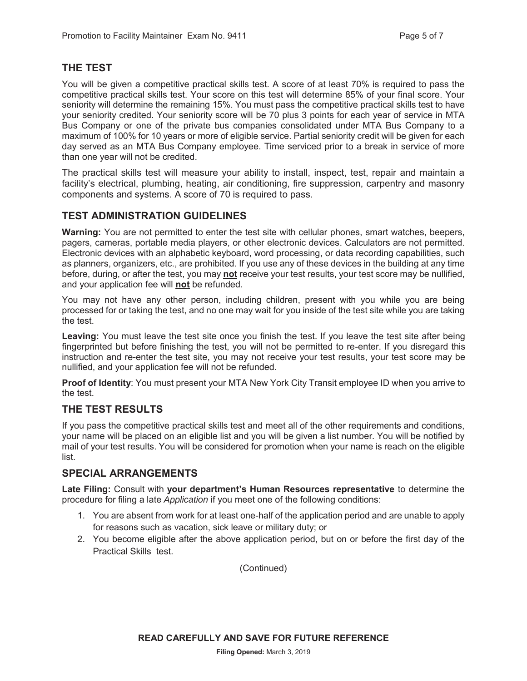# **THE TEST**

You will be given a competitive practical skills test. A score of at least 70% is required to pass the competitive practical skills test. Your score on this test will determine 85% of your final score. Your seniority will determine the remaining 15%. You must pass the competitive practical skills test to have your seniority credited. Your seniority score will be 70 plus 3 points for each year of service in MTA Bus Company or one of the private bus companies consolidated under MTA Bus Company to a maximum of 100% for 10 years or more of eligible service. Partial seniority credit will be given for each day served as an MTA Bus Company employee. Time serviced prior to a break in service of more than one year will not be credited.

The practical skills test will measure your ability to install, inspect, test, repair and maintain a facility's electrical, plumbing, heating, air conditioning, fire suppression, carpentry and masonry components and systems. A score of 70 is required to pass.

# **TEST ADMINISTRATION GUIDELINES**

**Warning:** You are not permitted to enter the test site with cellular phones, smart watches, beepers, pagers, cameras, portable media players, or other electronic devices. Calculators are not permitted. Electronic devices with an alphabetic keyboard, word processing, or data recording capabilities, such as planners, organizers, etc., are prohibited. If you use any of these devices in the building at any time before, during, or after the test, you may **not** receive your test results, your test score may be nullified, and your application fee will **not** be refunded.

You may not have any other person, including children, present with you while you are being processed for or taking the test, and no one may wait for you inside of the test site while you are taking the test.

**Leaving:** You must leave the test site once you finish the test. If you leave the test site after being fingerprinted but before finishing the test, you will not be permitted to re-enter. If you disregard this instruction and re-enter the test site, you may not receive your test results, your test score may be nullified, and your application fee will not be refunded.

**Proof of Identity**: You must present your MTA New York City Transit employee ID when you arrive to the test.

# **THE TEST RESULTS**

If you pass the competitive practical skills test and meet all of the other requirements and conditions, your name will be placed on an eligible list and you will be given a list number. You will be notified by mail of your test results. You will be considered for promotion when your name is reach on the eligible list.

# **SPECIAL ARRANGEMENTS**

**Late Filing:** Consult with **your department's Human Resources representative** to determine the procedure for filing a late *Application* if you meet one of the following conditions:

- 1. You are absent from work for at least one-half of the application period and are unable to apply for reasons such as vacation, sick leave or military duty; or
- 2. You become eligible after the above application period, but on or before the first day of the Practical Skills test.

(Continued)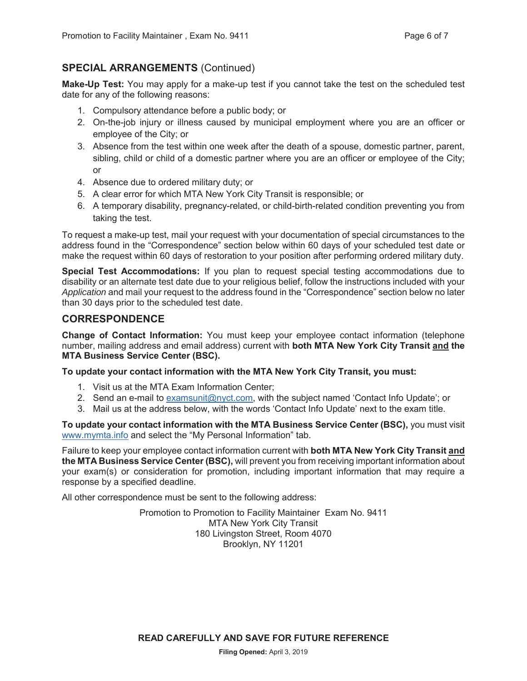# **SPECIAL ARRANGEMENTS** (Continued)

**Make-Up Test:** You may apply for a make-up test if you cannot take the test on the scheduled test date for any of the following reasons:

- 1. Compulsory attendance before a public body; or
- 2. On-the-job injury or illness caused by municipal employment where you are an officer or employee of the City; or
- 3. Absence from the test within one week after the death of a spouse, domestic partner, parent, sibling, child or child of a domestic partner where you are an officer or employee of the City; or
- 4. Absence due to ordered military duty; or
- 5. A clear error for which MTA New York City Transit is responsible; or
- 6. A temporary disability, pregnancy-related, or child-birth-related condition preventing you from taking the test.

To request a make-up test, mail your request with your documentation of special circumstances to the address found in the "Correspondence" section below within 60 days of your scheduled test date or make the request within 60 days of restoration to your position after performing ordered military duty.

**Special Test Accommodations:** If you plan to request special testing accommodations due to disability or an alternate test date due to your religious belief, follow the instructions included with your *Application* and mail your request to the address found in the "Correspondence" section below no later than 30 days prior to the scheduled test date.

#### **CORRESPONDENCE**

**Change of Contact Information:** You must keep your employee contact information (telephone number, mailing address and email address) current with **both MTA New York City Transit and the MTA Business Service Center (BSC).**

#### **To update your contact information with the MTA New York City Transit, you must:**

- 1. Visit us at the MTA Exam Information Center;
- 2. Send an e-mail to examsunit@nyct.com, with the subject named 'Contact Info Update'; or
- 3. Mail us at the address below, with the words 'Contact Info Update' next to the exam title.

**To update your contact information with the MTA Business Service Center (BSC),** you must visit www.mymta.info and select the "My Personal Information" tab.

Failure to keep your employee contact information current with **both MTA New York City Transit and the MTA Business Service Center (BSC),** will prevent you from receiving important information about your exam(s) or consideration for promotion, including important information that may require a response by a specified deadline.

All other correspondence must be sent to the following address:

Promotion to Promotion to Facility Maintainer Exam No. 9411 MTA New York City Transit 180 Livingston Street, Room 4070 Brooklyn, NY 11201

**READ CAREFULLY AND SAVE FOR FUTURE REFERENCE**